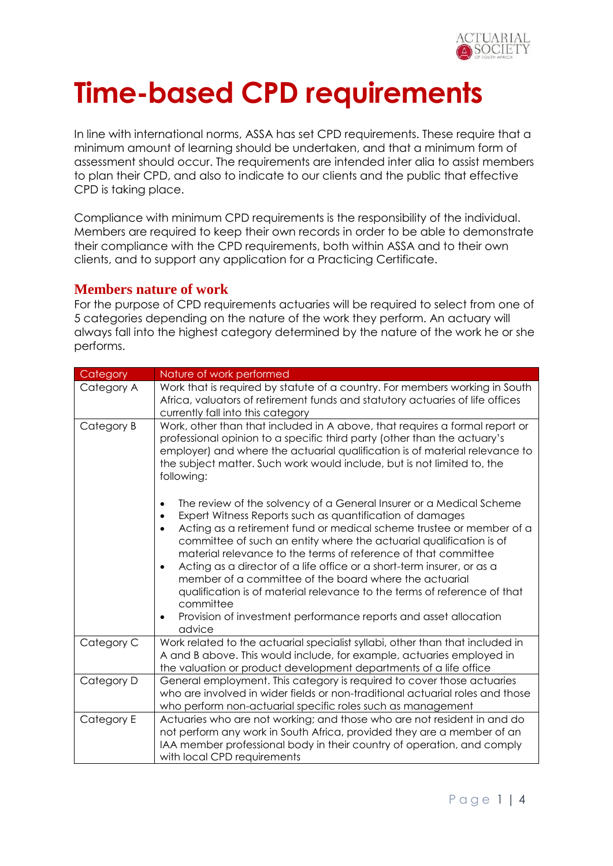

# **Time-based CPD requirements**

In line with international norms, ASSA has set CPD requirements. These require that a minimum amount of learning should be undertaken, and that a minimum form of assessment should occur. The requirements are intended inter alia to assist members to plan their CPD, and also to indicate to our clients and the public that effective CPD is taking place.

Compliance with minimum CPD requirements is the responsibility of the individual. Members are required to keep their own records in order to be able to demonstrate their compliance with the CPD requirements, both within ASSA and to their own clients, and to support any application for a Practicing Certificate.

#### **Members nature of work**

For the purpose of CPD requirements actuaries will be required to select from one of 5 categories depending on the nature of the work they perform. An actuary will always fall into the highest category determined by the nature of the work he or she performs.

| Category   | Nature of work performed                                                                                                                                                                                                                                                                                                                                                                                                                                                                                                                                                                                                                                                                                                     |  |  |
|------------|------------------------------------------------------------------------------------------------------------------------------------------------------------------------------------------------------------------------------------------------------------------------------------------------------------------------------------------------------------------------------------------------------------------------------------------------------------------------------------------------------------------------------------------------------------------------------------------------------------------------------------------------------------------------------------------------------------------------------|--|--|
| Category A | Work that is required by statute of a country. For members working in South<br>Africa, valuators of retirement funds and statutory actuaries of life offices<br>currently fall into this category                                                                                                                                                                                                                                                                                                                                                                                                                                                                                                                            |  |  |
| Category B | Work, other than that included in A above, that requires a formal report or<br>professional opinion to a specific third party (other than the actuary's<br>employer) and where the actuarial qualification is of material relevance to<br>the subject matter. Such work would include, but is not limited to, the<br>following:                                                                                                                                                                                                                                                                                                                                                                                              |  |  |
|            | The review of the solvency of a General Insurer or a Medical Scheme<br>$\bullet$<br>Expert Witness Reports such as quantification of damages<br>$\bullet$<br>Acting as a retirement fund or medical scheme trustee or member of a<br>$\bullet$<br>committee of such an entity where the actuarial qualification is of<br>material relevance to the terms of reference of that committee<br>Acting as a director of a life office or a short-term insurer, or as a<br>$\bullet$<br>member of a committee of the board where the actuarial<br>qualification is of material relevance to the terms of reference of that<br>committee<br>Provision of investment performance reports and asset allocation<br>$\bullet$<br>advice |  |  |
| Category C | Work related to the actuarial specialist syllabi, other than that included in<br>A and B above. This would include, for example, actuaries employed in<br>the valuation or product development departments of a life office                                                                                                                                                                                                                                                                                                                                                                                                                                                                                                  |  |  |
| Category D | General employment. This category is required to cover those actuaries<br>who are involved in wider fields or non-traditional actuarial roles and those<br>who perform non-actuarial specific roles such as management                                                                                                                                                                                                                                                                                                                                                                                                                                                                                                       |  |  |
| Category E | Actuaries who are not working; and those who are not resident in and do<br>not perform any work in South Africa, provided they are a member of an<br>IAA member professional body in their country of operation, and comply<br>with local CPD requirements                                                                                                                                                                                                                                                                                                                                                                                                                                                                   |  |  |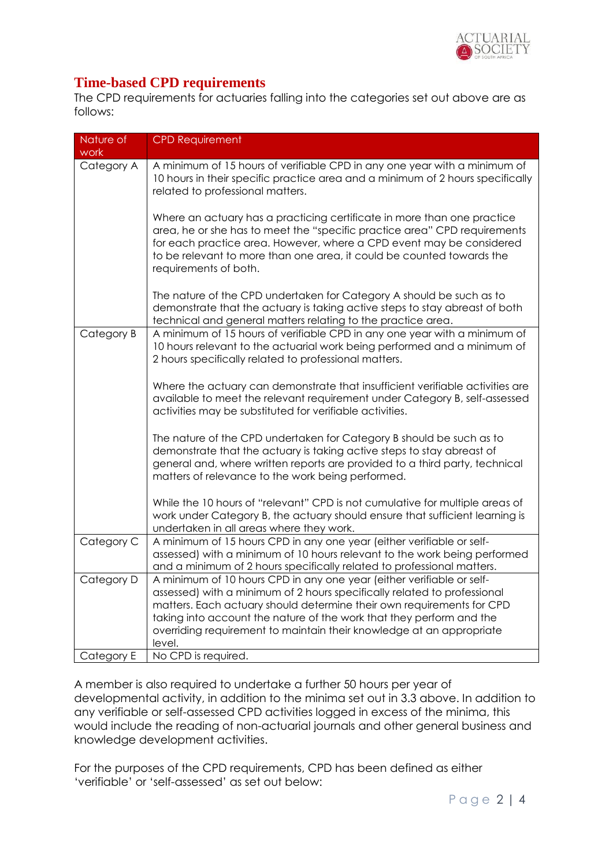

## **Time-based CPD requirements**

The CPD requirements for actuaries falling into the categories set out above are as follows:

| Nature of<br>work | <b>CPD Requirement</b>                                                                                                                                                                                                                                                                                                                                                               |
|-------------------|--------------------------------------------------------------------------------------------------------------------------------------------------------------------------------------------------------------------------------------------------------------------------------------------------------------------------------------------------------------------------------------|
| Category A        | A minimum of 15 hours of verifiable CPD in any one year with a minimum of<br>10 hours in their specific practice area and a minimum of 2 hours specifically<br>related to professional matters.                                                                                                                                                                                      |
|                   | Where an actuary has a practicing certificate in more than one practice<br>area, he or she has to meet the "specific practice area" CPD requirements<br>for each practice area. However, where a CPD event may be considered<br>to be relevant to more than one area, it could be counted towards the<br>requirements of both.                                                       |
|                   | The nature of the CPD undertaken for Category A should be such as to<br>demonstrate that the actuary is taking active steps to stay abreast of both<br>technical and general matters relating to the practice area.                                                                                                                                                                  |
| Category B        | A minimum of 15 hours of verifiable CPD in any one year with a minimum of<br>10 hours relevant to the actuarial work being performed and a minimum of<br>2 hours specifically related to professional matters.                                                                                                                                                                       |
|                   | Where the actuary can demonstrate that insufficient verifiable activities are<br>available to meet the relevant requirement under Category B, self-assessed<br>activities may be substituted for verifiable activities.                                                                                                                                                              |
|                   | The nature of the CPD undertaken for Category B should be such as to<br>demonstrate that the actuary is taking active steps to stay abreast of<br>general and, where written reports are provided to a third party, technical<br>matters of relevance to the work being performed.                                                                                                   |
|                   | While the 10 hours of "relevant" CPD is not cumulative for multiple areas of<br>work under Category B, the actuary should ensure that sufficient learning is<br>undertaken in all areas where they work.                                                                                                                                                                             |
| Category C        | A minimum of 15 hours CPD in any one year (either verifiable or self-<br>assessed) with a minimum of 10 hours relevant to the work being performed<br>and a minimum of 2 hours specifically related to professional matters.                                                                                                                                                         |
| Category D        | A minimum of 10 hours CPD in any one year (either verifiable or self-<br>assessed) with a minimum of 2 hours specifically related to professional<br>matters. Each actuary should determine their own requirements for CPD<br>taking into account the nature of the work that they perform and the<br>overriding requirement to maintain their knowledge at an appropriate<br>level. |
| Category E        | No CPD is required.                                                                                                                                                                                                                                                                                                                                                                  |

A member is also required to undertake a further 50 hours per year of developmental activity, in addition to the minima set out in 3.3 above. In addition to any verifiable or self-assessed CPD activities logged in excess of the minima, this would include the reading of non-actuarial journals and other general business and knowledge development activities.

For the purposes of the CPD requirements, CPD has been defined as either 'verifiable' or 'self-assessed' as set out below: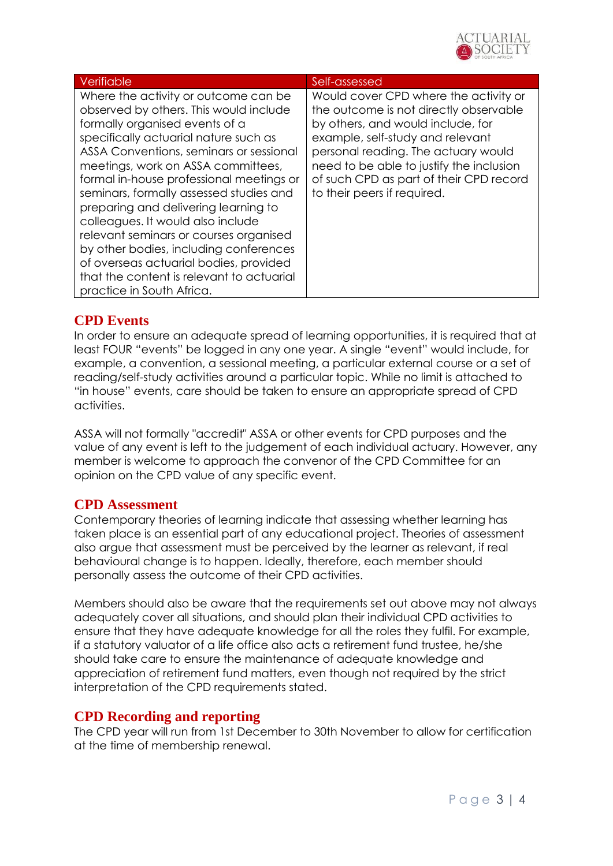

| Verifiable                                                                                                                                                                                                                                                                                                                                                                                                                                                                                                                                                                                                             | Self-assessed                                                                                                                                                                                                                                                                                                         |
|------------------------------------------------------------------------------------------------------------------------------------------------------------------------------------------------------------------------------------------------------------------------------------------------------------------------------------------------------------------------------------------------------------------------------------------------------------------------------------------------------------------------------------------------------------------------------------------------------------------------|-----------------------------------------------------------------------------------------------------------------------------------------------------------------------------------------------------------------------------------------------------------------------------------------------------------------------|
| Where the activity or outcome can be<br>observed by others. This would include<br>formally organised events of a<br>specifically actuarial nature such as<br>ASSA Conventions, seminars or sessional<br>meetings, work on ASSA committees,<br>formal in-house professional meetings or<br>seminars, formally assessed studies and<br>preparing and delivering learning to<br>colleagues. It would also include<br>relevant seminars or courses organised<br>by other bodies, including conferences<br>of overseas actuarial bodies, provided<br>that the content is relevant to actuarial<br>practice in South Africa. | Would cover CPD where the activity or<br>the outcome is not directly observable<br>by others, and would include, for<br>example, self-study and relevant<br>personal reading. The actuary would<br>need to be able to justify the inclusion<br>of such CPD as part of their CPD record<br>to their peers if required. |

### **CPD Events**

In order to ensure an adequate spread of learning opportunities, it is required that at least FOUR "events" be logged in any one year. A single "event" would include, for example, a convention, a sessional meeting, a particular external course or a set of reading/self-study activities around a particular topic. While no limit is attached to "in house" events, care should be taken to ensure an appropriate spread of CPD activities.

ASSA will not formally "accredit" ASSA or other events for CPD purposes and the value of any event is left to the judgement of each individual actuary. However, any member is welcome to approach the convenor of the CPD Committee for an opinion on the CPD value of any specific event.

#### **CPD Assessment**

Contemporary theories of learning indicate that assessing whether learning has taken place is an essential part of any educational project. Theories of assessment also argue that assessment must be perceived by the learner as relevant, if real behavioural change is to happen. Ideally, therefore, each member should personally assess the outcome of their CPD activities.

Members should also be aware that the requirements set out above may not always adequately cover all situations, and should plan their individual CPD activities to ensure that they have adequate knowledge for all the roles they fulfil. For example, if a statutory valuator of a life office also acts a retirement fund trustee, he/she should take care to ensure the maintenance of adequate knowledge and appreciation of retirement fund matters, even though not required by the strict interpretation of the CPD requirements stated.

## **CPD Recording and reporting**

The CPD year will run from 1st December to 30th November to allow for certification at the time of membership renewal.